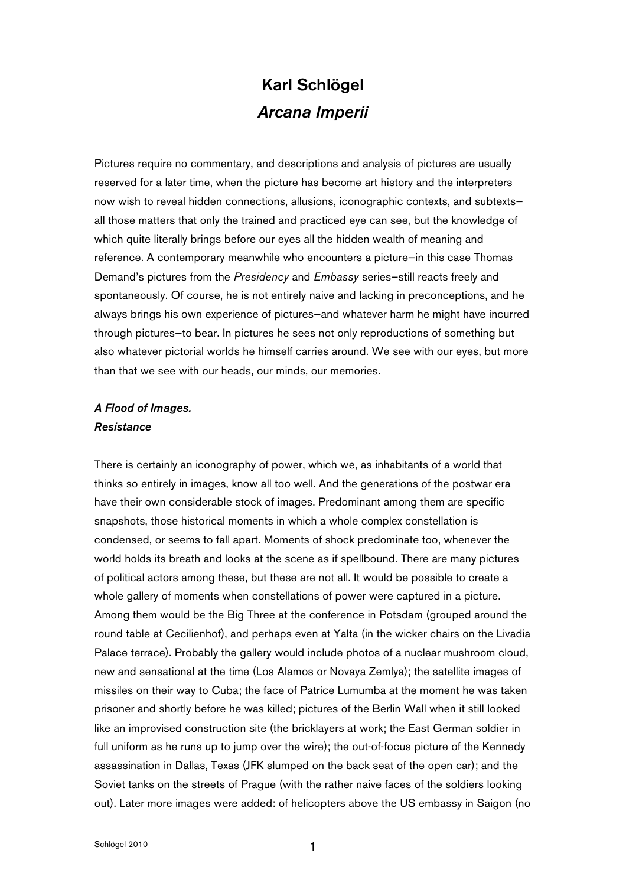# Karl Schlögel *Arcana Imperii*

Pictures require no commentary, and descriptions and analysis of pictures are usually reserved for a later time, when the picture has become art history and the interpreters now wish to reveal hidden connections, allusions, iconographic contexts, and subtexts all those matters that only the trained and practiced eye can see, but the knowledge of which quite literally brings before our eyes all the hidden wealth of meaning and reference. A contemporary meanwhile who encounters a picture—in this case Thomas Demand's pictures from the *Presidency* and *Embassy* series—still reacts freely and spontaneously. Of course, he is not entirely naive and lacking in preconceptions, and he always brings his own experience of pictures—and whatever harm he might have incurred through pictures—to bear. In pictures he sees not only reproductions of something but also whatever pictorial worlds he himself carries around. We see with our eyes, but more than that we see with our heads, our minds, our memories.

## *A Flood of Images. Resistance*

There is certainly an iconography of power, which we, as inhabitants of a world that thinks so entirely in images, know all too well. And the generations of the postwar era have their own considerable stock of images. Predominant among them are specific snapshots, those historical moments in which a whole complex constellation is condensed, or seems to fall apart. Moments of shock predominate too, whenever the world holds its breath and looks at the scene as if spellbound. There are many pictures of political actors among these, but these are not all. It would be possible to create a whole gallery of moments when constellations of power were captured in a picture. Among them would be the Big Three at the conference in Potsdam (grouped around the round table at Cecilienhof), and perhaps even at Yalta (in the wicker chairs on the Livadia Palace terrace). Probably the gallery would include photos of a nuclear mushroom cloud, new and sensational at the time (Los Alamos or Novaya Zemlya); the satellite images of missiles on their way to Cuba; the face of Patrice Lumumba at the moment he was taken prisoner and shortly before he was killed; pictures of the Berlin Wall when it still looked like an improvised construction site (the bricklayers at work; the East German soldier in full uniform as he runs up to jump over the wire); the out-of-focus picture of the Kennedy assassination in Dallas, Texas (JFK slumped on the back seat of the open car); and the Soviet tanks on the streets of Prague (with the rather naive faces of the soldiers looking out). Later more images were added: of helicopters above the US embassy in Saigon (no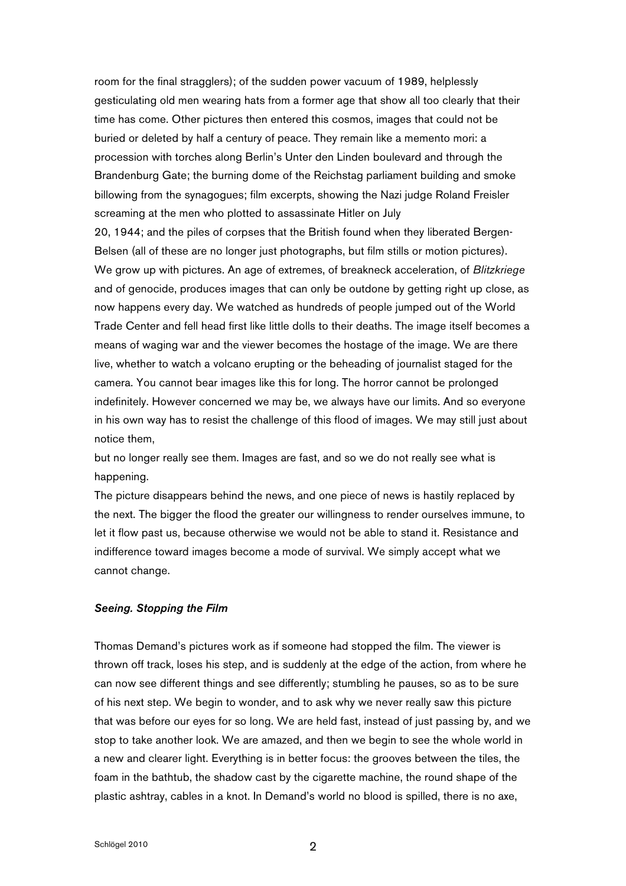room for the final stragglers); of the sudden power vacuum of 1989, helplessly gesticulating old men wearing hats from a former age that show all too clearly that their time has come. Other pictures then entered this cosmos, images that could not be buried or deleted by half a century of peace. They remain like a memento mori: a procession with torches along Berlin's Unter den Linden boulevard and through the Brandenburg Gate; the burning dome of the Reichstag parliament building and smoke billowing from the synagogues; film excerpts, showing the Nazi judge Roland Freisler screaming at the men who plotted to assassinate Hitler on July

20, 1944; and the piles of corpses that the British found when they liberated Bergen-Belsen (all of these are no longer just photographs, but film stills or motion pictures). We grow up with pictures. An age of extremes, of breakneck acceleration, of *Blitzkriege* and of genocide, produces images that can only be outdone by getting right up close, as now happens every day. We watched as hundreds of people jumped out of the World Trade Center and fell head first like little dolls to their deaths. The image itself becomes a means of waging war and the viewer becomes the hostage of the image. We are there live, whether to watch a volcano erupting or the beheading of journalist staged for the camera. You cannot bear images like this for long. The horror cannot be prolonged indefinitely. However concerned we may be, we always have our limits. And so everyone in his own way has to resist the challenge of this flood of images. We may still just about notice them,

but no longer really see them. Images are fast, and so we do not really see what is happening.

The picture disappears behind the news, and one piece of news is hastily replaced by the next. The bigger the flood the greater our willingness to render ourselves immune, to let it flow past us, because otherwise we would not be able to stand it. Resistance and indifference toward images become a mode of survival. We simply accept what we cannot change.

### *Seeing. Stopping the Film*

Thomas Demand's pictures work as if someone had stopped the film. The viewer is thrown off track, loses his step, and is suddenly at the edge of the action, from where he can now see different things and see differently; stumbling he pauses, so as to be sure of his next step. We begin to wonder, and to ask why we never really saw this picture that was before our eyes for so long. We are held fast, instead of just passing by, and we stop to take another look. We are amazed, and then we begin to see the whole world in a new and clearer light. Everything is in better focus: the grooves between the tiles, the foam in the bathtub, the shadow cast by the cigarette machine, the round shape of the plastic ashtray, cables in a knot. In Demand's world no blood is spilled, there is no axe,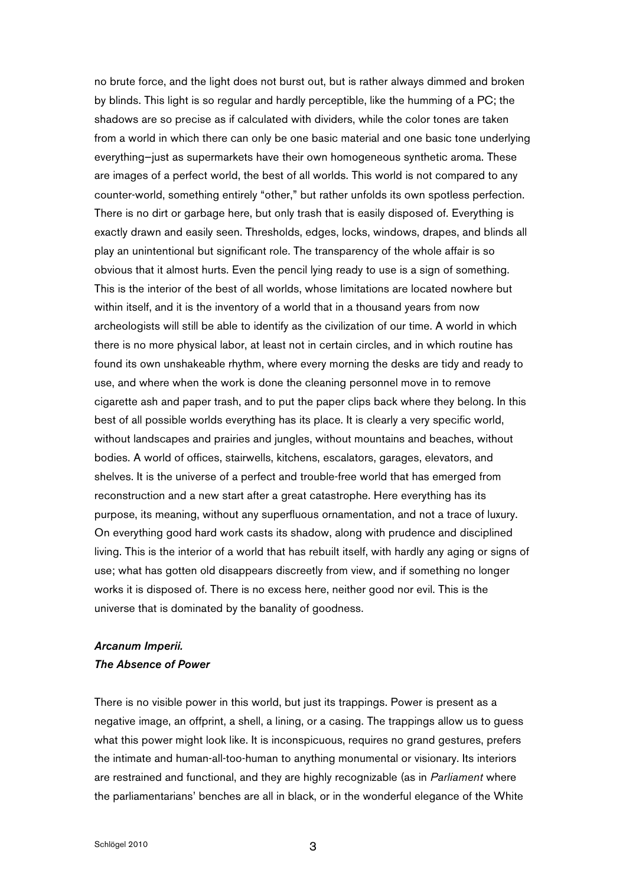no brute force, and the light does not burst out, but is rather always dimmed and broken by blinds. This light is so regular and hardly perceptible, like the humming of a PC; the shadows are so precise as if calculated with dividers, while the color tones are taken from a world in which there can only be one basic material and one basic tone underlying everything—just as supermarkets have their own homogeneous synthetic aroma. These are images of a perfect world, the best of all worlds. This world is not compared to any counter-world, something entirely "other," but rather unfolds its own spotless perfection. There is no dirt or garbage here, but only trash that is easily disposed of. Everything is exactly drawn and easily seen. Thresholds, edges, locks, windows, drapes, and blinds all play an unintentional but significant role. The transparency of the whole affair is so obvious that it almost hurts. Even the pencil lying ready to use is a sign of something. This is the interior of the best of all worlds, whose limitations are located nowhere but within itself, and it is the inventory of a world that in a thousand years from now archeologists will still be able to identify as the civilization of our time. A world in which there is no more physical labor, at least not in certain circles, and in which routine has found its own unshakeable rhythm, where every morning the desks are tidy and ready to use, and where when the work is done the cleaning personnel move in to remove cigarette ash and paper trash, and to put the paper clips back where they belong. In this best of all possible worlds everything has its place. It is clearly a very specific world, without landscapes and prairies and jungles, without mountains and beaches, without bodies. A world of offices, stairwells, kitchens, escalators, garages, elevators, and shelves. It is the universe of a perfect and trouble-free world that has emerged from reconstruction and a new start after a great catastrophe. Here everything has its purpose, its meaning, without any superfluous ornamentation, and not a trace of luxury. On everything good hard work casts its shadow, along with prudence and disciplined living. This is the interior of a world that has rebuilt itself, with hardly any aging or signs of use; what has gotten old disappears discreetly from view, and if something no longer works it is disposed of. There is no excess here, neither good nor evil. This is the universe that is dominated by the banality of goodness.

## *Arcanum Imperii. The Absence of Power*

There is no visible power in this world, but just its trappings. Power is present as a negative image, an offprint, a shell, a lining, or a casing. The trappings allow us to guess what this power might look like. It is inconspicuous, requires no grand gestures, prefers the intimate and human-all-too-human to anything monumental or visionary. Its interiors are restrained and functional, and they are highly recognizable (as in *Parliament* where the parliamentarians' benches are all in black, or in the wonderful elegance of the White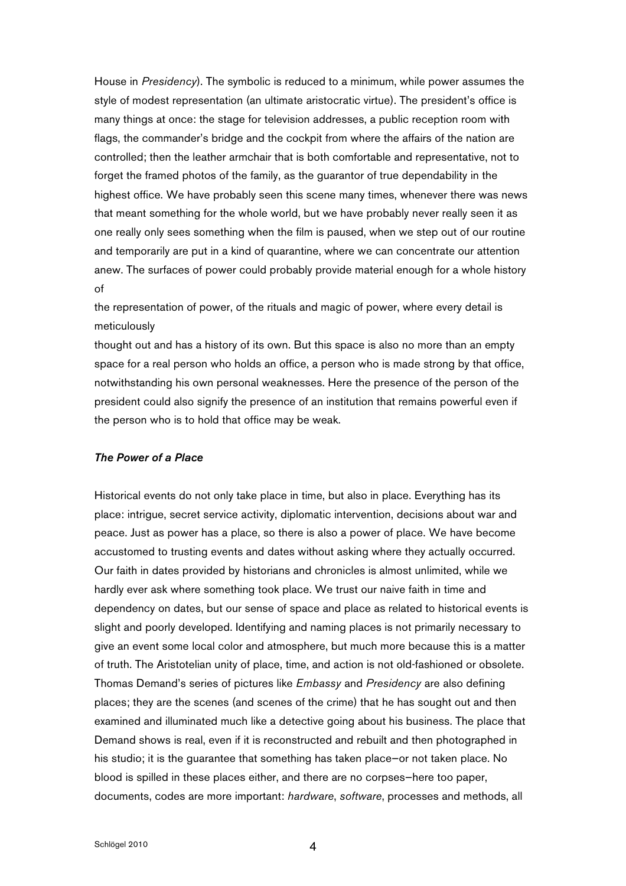House in *Presidency*). The symbolic is reduced to a minimum, while power assumes the style of modest representation (an ultimate aristocratic virtue). The president's office is many things at once: the stage for television addresses, a public reception room with flags, the commander's bridge and the cockpit from where the affairs of the nation are controlled; then the leather armchair that is both comfortable and representative, not to forget the framed photos of the family, as the guarantor of true dependability in the highest office. We have probably seen this scene many times, whenever there was news that meant something for the whole world, but we have probably never really seen it as one really only sees something when the film is paused, when we step out of our routine and temporarily are put in a kind of quarantine, where we can concentrate our attention anew. The surfaces of power could probably provide material enough for a whole history of

the representation of power, of the rituals and magic of power, where every detail is meticulously

thought out and has a history of its own. But this space is also no more than an empty space for a real person who holds an office, a person who is made strong by that office, notwithstanding his own personal weaknesses. Here the presence of the person of the president could also signify the presence of an institution that remains powerful even if the person who is to hold that office may be weak.

### *The Power of a Place*

Historical events do not only take place in time, but also in place. Everything has its place: intrigue, secret service activity, diplomatic intervention, decisions about war and peace. Just as power has a place, so there is also a power of place. We have become accustomed to trusting events and dates without asking where they actually occurred. Our faith in dates provided by historians and chronicles is almost unlimited, while we hardly ever ask where something took place. We trust our naive faith in time and dependency on dates, but our sense of space and place as related to historical events is slight and poorly developed. Identifying and naming places is not primarily necessary to give an event some local color and atmosphere, but much more because this is a matter of truth. The Aristotelian unity of place, time, and action is not old-fashioned or obsolete. Thomas Demand's series of pictures like *Embassy* and *Presidency* are also defining places; they are the scenes (and scenes of the crime) that he has sought out and then examined and illuminated much like a detective going about his business. The place that Demand shows is real, even if it is reconstructed and rebuilt and then photographed in his studio; it is the guarantee that something has taken place—or not taken place. No blood is spilled in these places either, and there are no corpses—here too paper, documents, codes are more important: *hardware*, *software*, processes and methods, all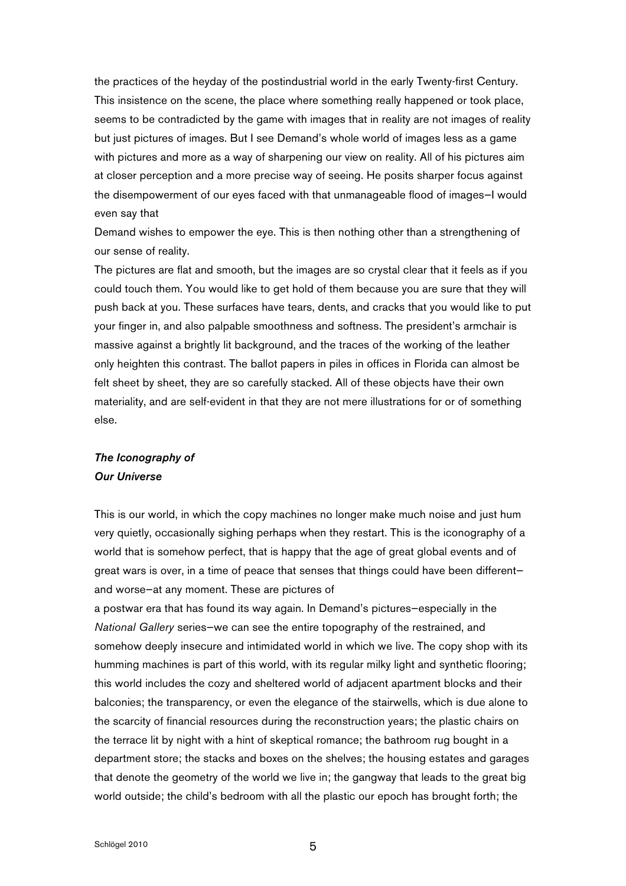the practices of the heyday of the postindustrial world in the early Twenty-first Century. This insistence on the scene, the place where something really happened or took place, seems to be contradicted by the game with images that in reality are not images of reality but just pictures of images. But I see Demand's whole world of images less as a game with pictures and more as a way of sharpening our view on reality. All of his pictures aim at closer perception and a more precise way of seeing. He posits sharper focus against the disempowerment of our eyes faced with that unmanageable flood of images—I would even say that

Demand wishes to empower the eye. This is then nothing other than a strengthening of our sense of reality.

The pictures are flat and smooth, but the images are so crystal clear that it feels as if you could touch them. You would like to get hold of them because you are sure that they will push back at you. These surfaces have tears, dents, and cracks that you would like to put your finger in, and also palpable smoothness and softness. The president's armchair is massive against a brightly lit background, and the traces of the working of the leather only heighten this contrast. The ballot papers in piles in offices in Florida can almost be felt sheet by sheet, they are so carefully stacked. All of these objects have their own materiality, and are self-evident in that they are not mere illustrations for or of something else.

# *The Iconography of Our Universe*

This is our world, in which the copy machines no longer make much noise and just hum very quietly, occasionally sighing perhaps when they restart. This is the iconography of a world that is somehow perfect, that is happy that the age of great global events and of great wars is over, in a time of peace that senses that things could have been different and worse—at any moment. These are pictures of

a postwar era that has found its way again. In Demand's pictures—especially in the *National Gallery* series—we can see the entire topography of the restrained, and somehow deeply insecure and intimidated world in which we live. The copy shop with its humming machines is part of this world, with its regular milky light and synthetic flooring; this world includes the cozy and sheltered world of adjacent apartment blocks and their balconies; the transparency, or even the elegance of the stairwells, which is due alone to the scarcity of financial resources during the reconstruction years; the plastic chairs on the terrace lit by night with a hint of skeptical romance; the bathroom rug bought in a department store; the stacks and boxes on the shelves; the housing estates and garages that denote the geometry of the world we live in; the gangway that leads to the great big world outside; the child's bedroom with all the plastic our epoch has brought forth; the